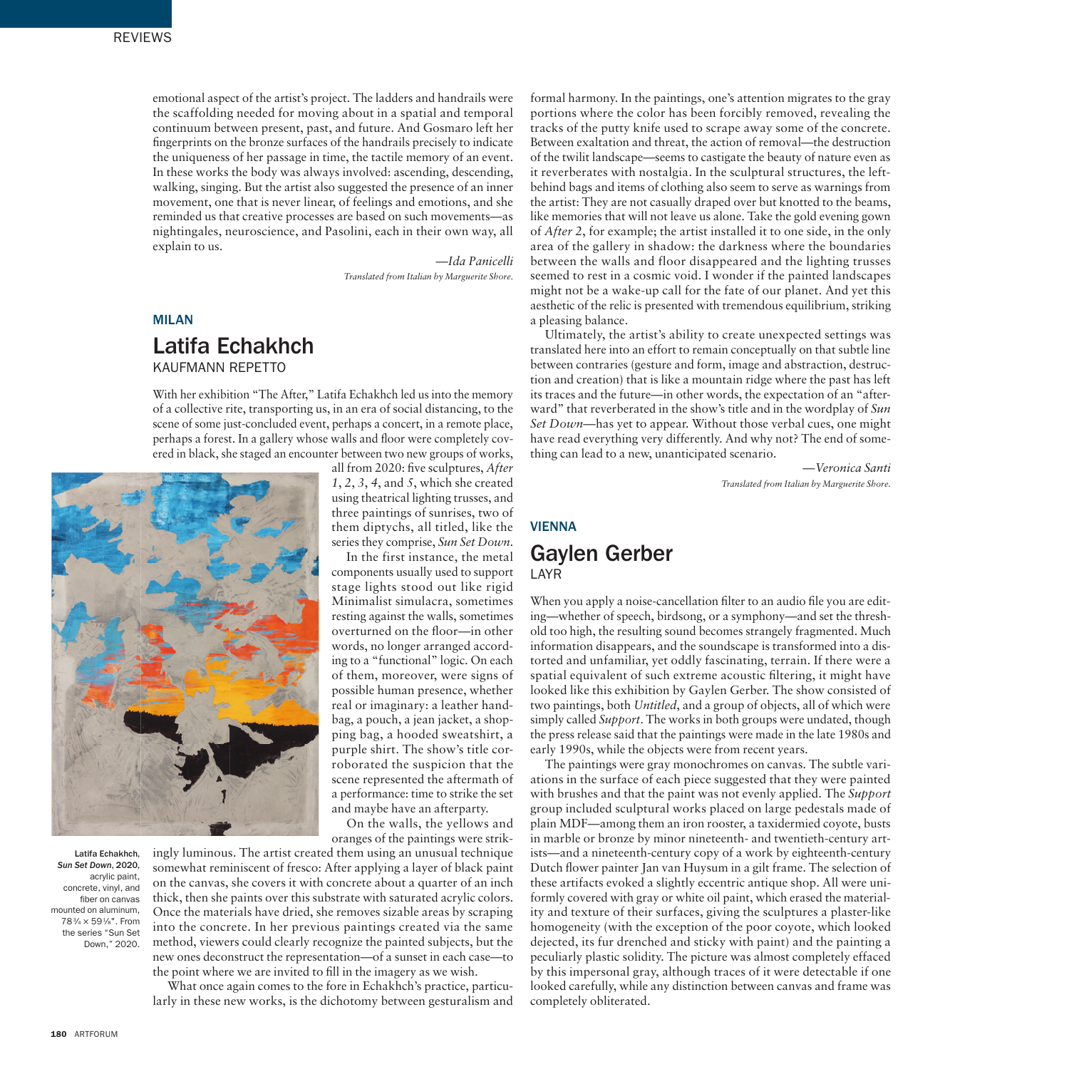emotional aspect of the artist's project. The ladders and handrails were the scaffolding needed for moving about in a spatial and temporal continuum between present, past, and future. And Gosmaro left her fingerprints on the bronze surfaces of the handrails precisely to indicate the uniqueness of her passage in time, the tactile memory of an event. In these works the body was always involved: ascending, descending, walking, singing. But the artist also suggested the presence of an inner movement, one that is never linear, of feelings and emotions, and she reminded us that creative processes are based on such movements—as nightingales, neuroscience, and Pasolini, each in their own way, all explain to us.

> *—Ida Panicelli Translated from Italian by Marguerite Shore.*

*1*, *2*, *3*, *4*, and *5*, which she created using theatrical lighting trusses, and three paintings of sunrises, two of them diptychs, all titled, like the series they comprise, *Sun Set Down*. In the first instance, the metal components usually used to support stage lights stood out like rigid Minimalist simulacra, sometimes resting against the walls, sometimes overturned on the floor—in other words, no longer arranged according to a "functional" logic. On each of them, moreover, were signs of possible human presence, whether real or imaginary: a leather handbag, a pouch, a jean jacket, a shopping bag, a hooded sweatshirt, a purple shirt. The show's title corroborated the suspicion that the scene represented the aftermath of a performance: time to strike the set and maybe have an afterparty. On the walls, the yellows and oranges of the paintings were strik-

#### MILAN

## Latifa Echakhch KAUFMANN REPETTO

With her exhibition "The After," Latifa Echakhch led us into the memory of a collective rite, transporting us, in an era of social distancing, to the scene of some just-concluded event, perhaps a concert, in a remote place, perhaps a forest. In a gallery whose walls and floor were completely covered in black, she staged an encounter between two new groups of works, all from 2020: five sculptures, *After* 



Latifa Echakhch, *Sun Set Down*, 2020, acrylic paint, concrete, vinyl, and fiber on canvas mounted on aluminum, 783⁄4 × 591⁄8". From the series "Sun Set Down," 2020.

ingly luminous. The artist created them using an unusual technique somewhat reminiscent of fresco: After applying a layer of black paint on the canvas, she covers it with concrete about a quarter of an inch thick, then she paints over this substrate with saturated acrylic colors. Once the materials have dried, she removes sizable areas by scraping into the concrete. In her previous paintings created via the same method, viewers could clearly recognize the painted subjects, but the new ones deconstruct the representation—of a sunset in each case—to the point where we are invited to fill in the imagery as we wish.

What once again comes to the fore in Echakhch's practice, particularly in these new works, is the dichotomy between gesturalism and

formal harmony. In the paintings, one's attention migrates to the gray portions where the color has been forcibly removed, revealing the tracks of the putty knife used to scrape away some of the concrete. Between exaltation and threat, the action of removal—the destruction of the twilit landscape—seems to castigate the beauty of nature even as it reverberates with nostalgia. In the sculptural structures, the leftbehind bags and items of clothing also seem to serve as warnings from the artist: They are not casually draped over but knotted to the beams, like memories that will not leave us alone. Take the gold evening gown of *After 2*, for example; the artist installed it to one side, in the only area of the gallery in shadow: the darkness where the boundaries between the walls and floor disappeared and the lighting trusses seemed to rest in a cosmic void. I wonder if the painted landscapes might not be a wake-up call for the fate of our planet. And yet this aesthetic of the relic is presented with tremendous equilibrium, striking a pleasing balance.

Ultimately, the artist's ability to create unexpected settings was translated here into an effort to remain conceptually on that subtle line between contraries (gesture and form, image and abstraction, destruction and creation) that is like a mountain ridge where the past has left its traces and the future—in other words, the expectation of an "afterward" that reverberated in the show's title and in the wordplay of *Sun Set Down*—has yet to appear. Without those verbal cues, one might have read everything very differently. And why not? The end of something can lead to a new, unanticipated scenario.

*—Veronica Santi Translated from Italian by Marguerite Shore.*

# VIENNA Gaylen Gerber LAYR

When you apply a noise-cancellation filter to an audio file you are editing—whether of speech, birdsong, or a symphony—and set the threshold too high, the resulting sound becomes strangely fragmented. Much information disappears, and the soundscape is transformed into a distorted and unfamiliar, yet oddly fascinating, terrain. If there were a spatial equivalent of such extreme acoustic filtering, it might have looked like this exhibition by Gaylen Gerber. The show consisted of two paintings, both *Untitled*, and a group of objects, all of which were simply called *Support*. The works in both groups were undated, though the press release said that the paintings were made in the late 1980s and early 1990s, while the objects were from recent years.

The paintings were gray monochromes on canvas. The subtle variations in the surface of each piece suggested that they were painted with brushes and that the paint was not evenly applied. The *Support* group included sculptural works placed on large pedestals made of plain MDF—among them an iron rooster, a taxidermied coyote, busts in marble or bronze by minor nineteenth- and twentieth-century artists—and a nineteenth-century copy of a work by eighteenth-century Dutch flower painter Jan van Huysum in a gilt frame. The selection of these artifacts evoked a slightly eccentric antique shop. All were uniformly covered with gray or white oil paint, which erased the materiality and texture of their surfaces, giving the sculptures a plaster-like homogeneity (with the exception of the poor coyote, which looked dejected, its fur drenched and sticky with paint) and the painting a peculiarly plastic solidity. The picture was almost completely effaced by this impersonal gray, although traces of it were detectable if one looked carefully, while any distinction between canvas and frame was completely obliterated.